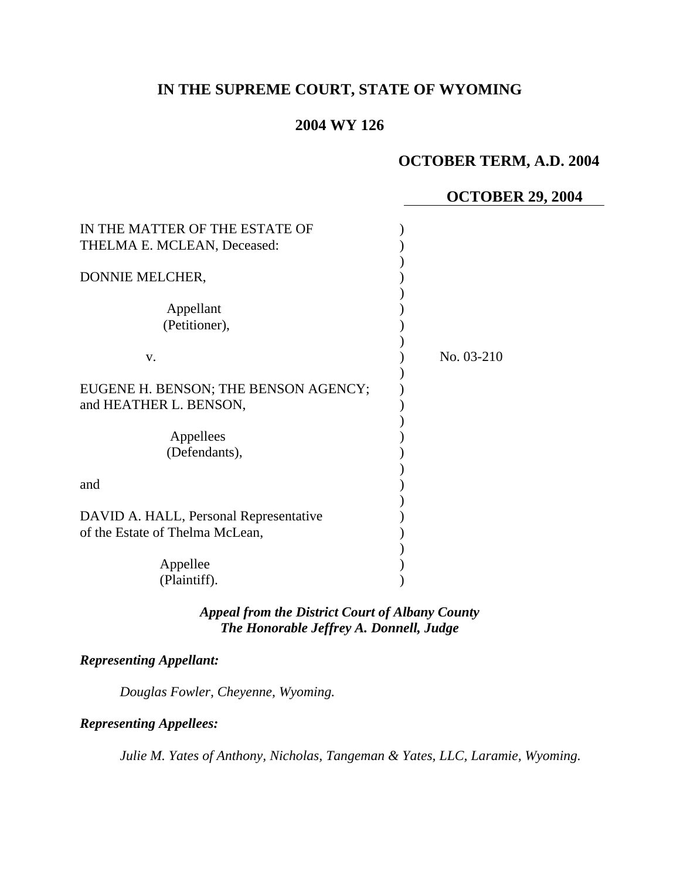# **IN THE SUPREME COURT, STATE OF WYOMING**

# **2004 WY 126**

# **OCTOBER TERM, A.D. 2004**

### **OCTOBER 29, 2004**

| IN THE MATTER OF THE ESTATE OF<br>THELMA E. MCLEAN, Deceased:             |            |
|---------------------------------------------------------------------------|------------|
| DONNIE MELCHER,                                                           |            |
| Appellant<br>(Petitioner),                                                |            |
| V.                                                                        | No. 03-210 |
| EUGENE H. BENSON; THE BENSON AGENCY;<br>and HEATHER L. BENSON,            |            |
| Appellees<br>(Defendants),                                                |            |
| and                                                                       |            |
| DAVID A. HALL, Personal Representative<br>of the Estate of Thelma McLean, |            |
| Appellee<br>(Plaintiff).                                                  |            |

# *Appeal from the District Court of Albany County The Honorable Jeffrey A. Donnell, Judge*

#### *Representing Appellant:*

*Douglas Fowler, Cheyenne, Wyoming.* 

#### *Representing Appellees:*

*Julie M. Yates of Anthony, Nicholas, Tangeman & Yates, LLC, Laramie, Wyoming.*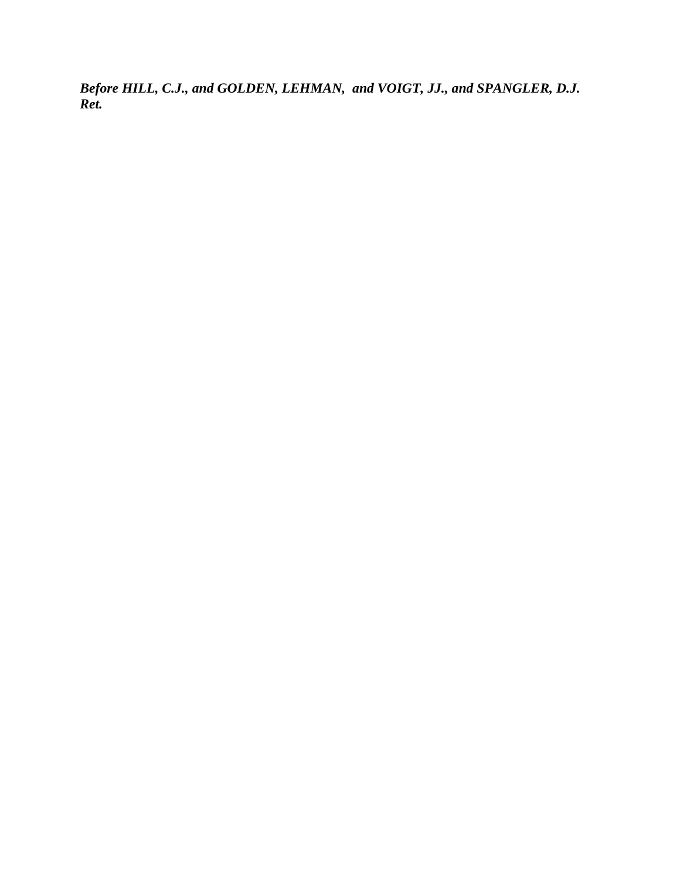*Before HILL, C.J., and GOLDEN, LEHMAN, and VOIGT, JJ., and SPANGLER, D.J. Ret.*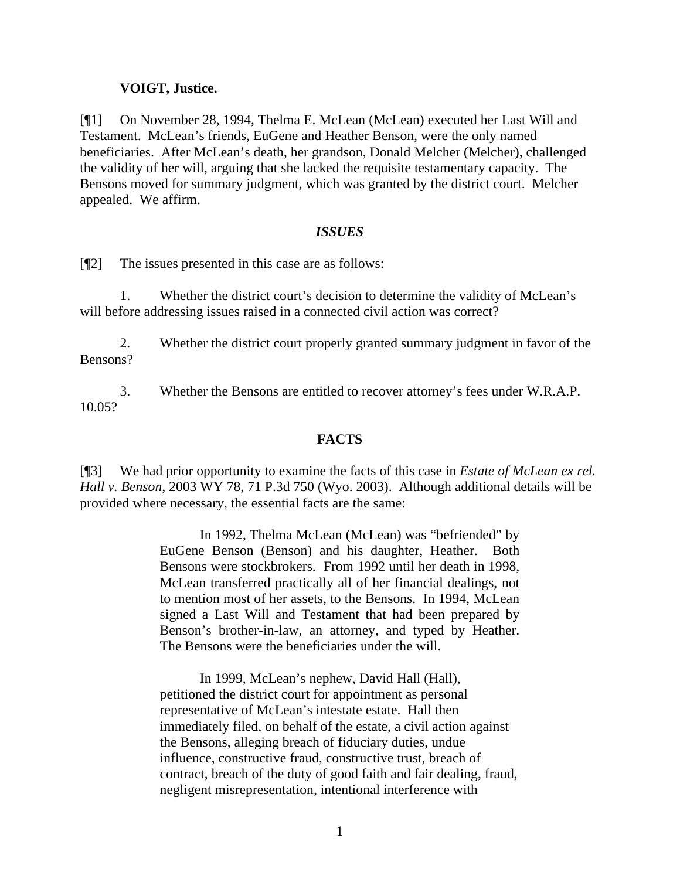### **VOIGT, Justice.**

[¶1] On November 28, 1994, Thelma E. McLean (McLean) executed her Last Will and Testament. McLean's friends, EuGene and Heather Benson, were the only named beneficiaries. After McLean's death, her grandson, Donald Melcher (Melcher), challenged the validity of her will, arguing that she lacked the requisite testamentary capacity. The Bensons moved for summary judgment, which was granted by the district court. Melcher appealed. We affirm.

### *ISSUES*

[¶2] The issues presented in this case are as follows:

1. Whether the district court's decision to determine the validity of McLean's will before addressing issues raised in a connected civil action was correct?

2. Whether the district court properly granted summary judgment in favor of the Bensons?

3. Whether the Bensons are entitled to recover attorney's fees under W.R.A.P. 10.05?

## **FACTS**

[¶3] We had prior opportunity to examine the facts of this case in *Estate of McLean ex rel. Hall v. Benson*, 2003 WY 78, 71 P.3d 750 (Wyo. 2003). Although additional details will be provided where necessary, the essential facts are the same:

> In 1992, Thelma McLean (McLean) was "befriended" by EuGene Benson (Benson) and his daughter, Heather. Both Bensons were stockbrokers. From 1992 until her death in 1998, McLean transferred practically all of her financial dealings, not to mention most of her assets, to the Bensons. In 1994, McLean signed a Last Will and Testament that had been prepared by Benson's brother-in-law, an attorney, and typed by Heather. The Bensons were the beneficiaries under the will.

> In 1999, McLean's nephew, David Hall (Hall), petitioned the district court for appointment as personal representative of McLean's intestate estate. Hall then immediately filed, on behalf of the estate, a civil action against the Bensons, alleging breach of fiduciary duties, undue influence, constructive fraud, constructive trust, breach of contract, breach of the duty of good faith and fair dealing, fraud, negligent misrepresentation, intentional interference with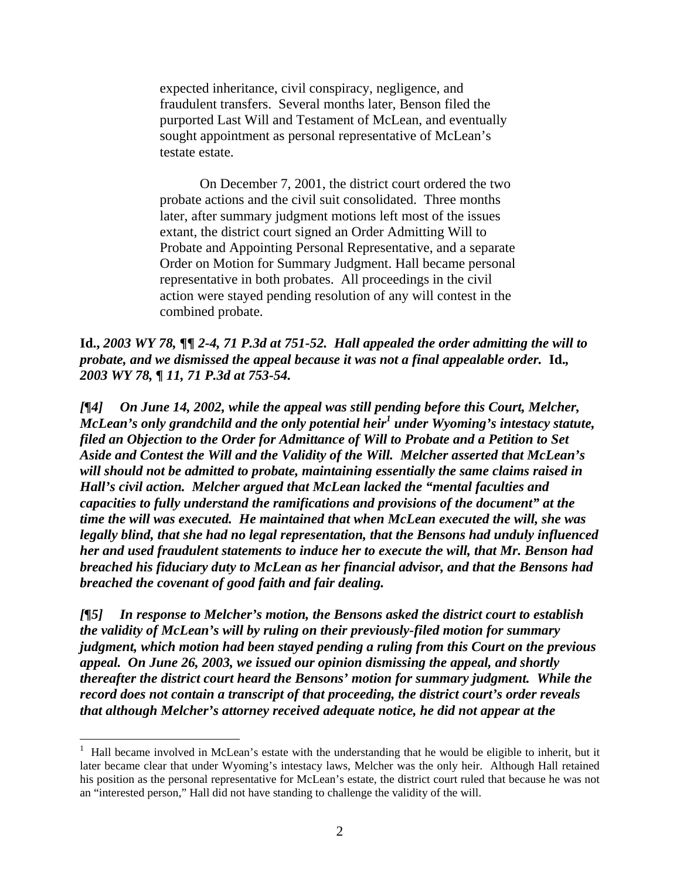expected inheritance, civil conspiracy, negligence, and fraudulent transfers. Several months later, Benson filed the purported Last Will and Testament of McLean, and eventually sought appointment as personal representative of McLean's testate estate.

On December 7, 2001, the district court ordered the two probate actions and the civil suit consolidated. Three months later, after summary judgment motions left most of the issues extant, the district court signed an Order Admitting Will to Probate and Appointing Personal Representative, and a separate Order on Motion for Summary Judgment. Hall became personal representative in both probates. All proceedings in the civil action were stayed pending resolution of any will contest in the combined probate.

**Id.,** *2003 WY 78,* **¶¶** *2-4, 71 P.3d at 751-52. Hall appealed the order admitting the will to probate, and we dismissed the appeal because it was not a final appealable order.* **Id.***, 2003 WY 78, ¶ 11, 71 P.3d at 753-54.* 

*[¶4] On June 14, 2002, while the appeal was still pending before this Court, Melcher, McLean's only grandchild and the only potential heir<sup>1</sup> under Wyoming's intestacy statute, filed an Objection to the Order for Admittance of Will to Probate and a Petition to Set Aside and Contest the Will and the Validity of the Will. Melcher asserted that McLean's will should not be admitted to probate, maintaining essentially the same claims raised in Hall's civil action. Melcher argued that McLean lacked the "mental faculties and capacities to fully understand the ramifications and provisions of the document" at the time the will was executed. He maintained that when McLean executed the will, she was legally blind, that she had no legal representation, that the Bensons had unduly influenced her and used fraudulent statements to induce her to execute the will, that Mr. Benson had breached his fiduciary duty to McLean as her financial advisor, and that the Bensons had breached the covenant of good faith and fair dealing.* 

*[¶5] In response to Melcher's motion, the Bensons asked the district court to establish the validity of McLean's will by ruling on their previously-filed motion for summary judgment, which motion had been stayed pending a ruling from this Court on the previous appeal. On June 26, 2003, we issued our opinion dismissing the appeal, and shortly thereafter the district court heard the Bensons' motion for summary judgment. While the record does not contain a transcript of that proceeding, the district court's order reveals that although Melcher's attorney received adequate notice, he did not appear at the* 

 $\overline{a}$ 

<sup>1</sup> Hall became involved in McLean's estate with the understanding that he would be eligible to inherit, but it later became clear that under Wyoming's intestacy laws, Melcher was the only heir. Although Hall retained his position as the personal representative for McLean's estate, the district court ruled that because he was not an "interested person," Hall did not have standing to challenge the validity of the will.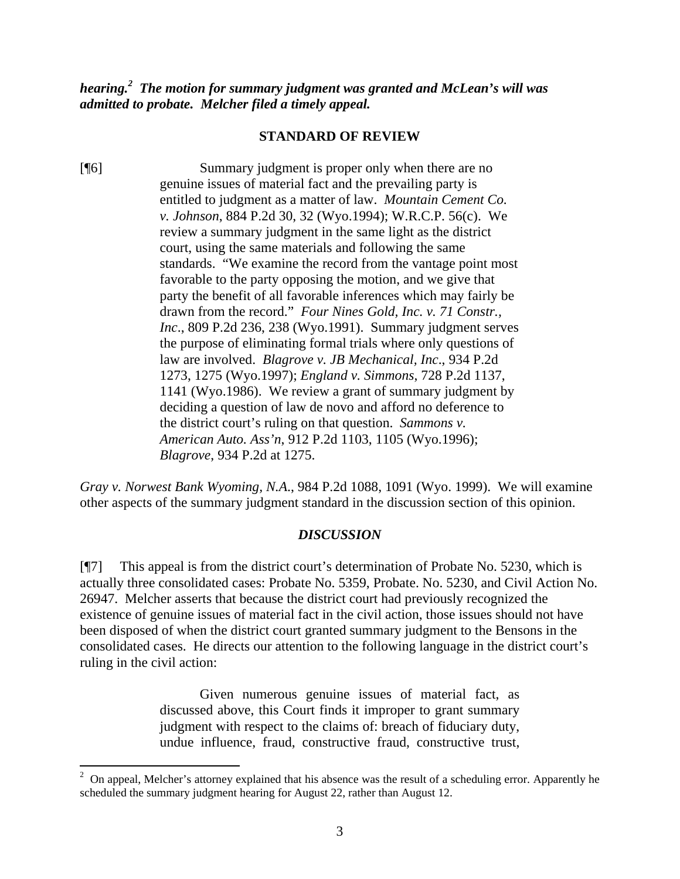*hearing.<sup>2</sup> The motion for summary judgment was granted and McLean's will was admitted to probate. Melcher filed a timely appeal.* 

#### **STANDARD OF REVIEW**

[¶6] Summary judgment is proper only when there are no genuine issues of material fact and the prevailing party is entitled to judgment as a matter of law. *Mountain Cement Co. v. Johnson*, 884 P.2d 30, 32 (Wyo.1994); W.R.C.P. 56(c). We review a summary judgment in the same light as the district court, using the same materials and following the same standards. "We examine the record from the vantage point most favorable to the party opposing the motion, and we give that party the benefit of all favorable inferences which may fairly be drawn from the record." *Four Nines Gold, Inc. v. 71 Constr., Inc*., 809 P.2d 236, 238 (Wyo.1991). Summary judgment serves the purpose of eliminating formal trials where only questions of law are involved. *Blagrove v. JB Mechanical, Inc*., 934 P.2d 1273, 1275 (Wyo.1997); *England v. Simmons*, 728 P.2d 1137, 1141 (Wyo.1986). We review a grant of summary judgment by deciding a question of law de novo and afford no deference to the district court's ruling on that question. *Sammons v. American Auto. Ass'n*, 912 P.2d 1103, 1105 (Wyo.1996); *Blagrove*, 934 P.2d at 1275.

*Gray v. Norwest Bank Wyoming, N.A*., 984 P.2d 1088, 1091 (Wyo. 1999). We will examine other aspects of the summary judgment standard in the discussion section of this opinion.

#### *DISCUSSION*

[¶7] This appeal is from the district court's determination of Probate No. 5230, which is actually three consolidated cases: Probate No. 5359, Probate. No. 5230, and Civil Action No. 26947. Melcher asserts that because the district court had previously recognized the existence of genuine issues of material fact in the civil action, those issues should not have been disposed of when the district court granted summary judgment to the Bensons in the consolidated cases. He directs our attention to the following language in the district court's ruling in the civil action:

> Given numerous genuine issues of material fact, as discussed above, this Court finds it improper to grant summary judgment with respect to the claims of: breach of fiduciary duty, undue influence, fraud, constructive fraud, constructive trust,

 $\frac{1}{2}$  On appeal, Melcher's attorney explained that his absence was the result of a scheduling error. Apparently he scheduled the summary judgment hearing for August 22, rather than August 12.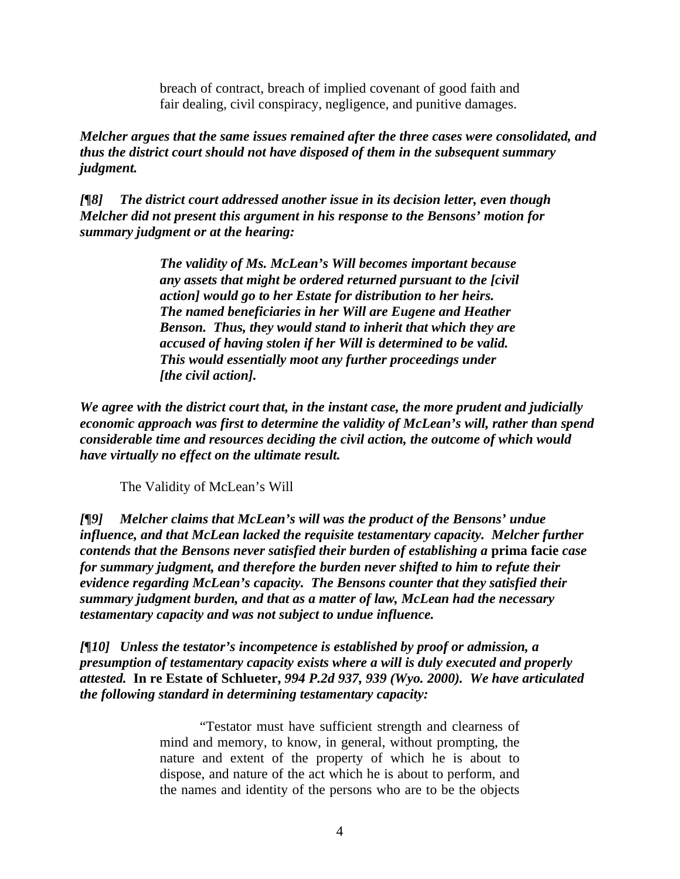breach of contract, breach of implied covenant of good faith and fair dealing, civil conspiracy, negligence, and punitive damages.

*Melcher argues that the same issues remained after the three cases were consolidated, and thus the district court should not have disposed of them in the subsequent summary judgment.* 

*[¶8] The district court addressed another issue in its decision letter, even though Melcher did not present this argument in his response to the Bensons' motion for summary judgment or at the hearing:* 

> *The validity of Ms. McLean's Will becomes important because any assets that might be ordered returned pursuant to the [civil action] would go to her Estate for distribution to her heirs. The named beneficiaries in her Will are Eugene and Heather Benson. Thus, they would stand to inherit that which they are accused of having stolen if her Will is determined to be valid. This would essentially moot any further proceedings under [the civil action].*

*We agree with the district court that, in the instant case, the more prudent and judicially economic approach was first to determine the validity of McLean's will, rather than spend considerable time and resources deciding the civil action, the outcome of which would have virtually no effect on the ultimate result.* 

The Validity of McLean's Will

*[¶9] Melcher claims that McLean's will was the product of the Bensons' undue influence, and that McLean lacked the requisite testamentary capacity. Melcher further contends that the Bensons never satisfied their burden of establishing a* **prima facie** *case for summary judgment, and therefore the burden never shifted to him to refute their evidence regarding McLean's capacity. The Bensons counter that they satisfied their summary judgment burden, and that as a matter of law, McLean had the necessary testamentary capacity and was not subject to undue influence.* 

*[¶10] Unless the testator's incompetence is established by proof or admission, a presumption of testamentary capacity exists where a will is duly executed and properly attested.* **In re Estate of Schlueter,** *994 P.2d 937, 939 (Wyo. 2000). We have articulated the following standard in determining testamentary capacity:* 

> "Testator must have sufficient strength and clearness of mind and memory, to know, in general, without prompting, the nature and extent of the property of which he is about to dispose, and nature of the act which he is about to perform, and the names and identity of the persons who are to be the objects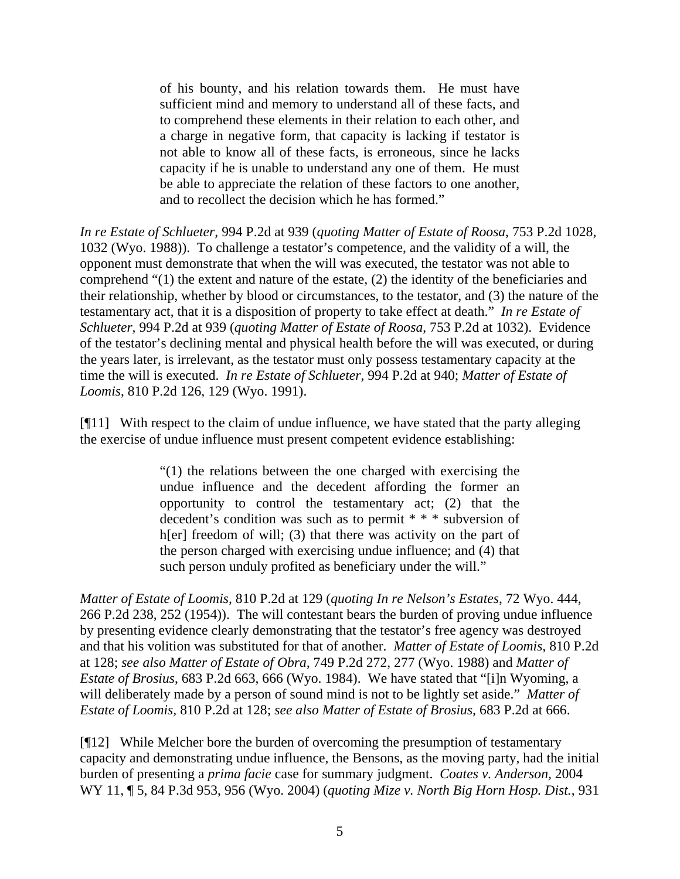of his bounty, and his relation towards them. He must have sufficient mind and memory to understand all of these facts, and to comprehend these elements in their relation to each other, and a charge in negative form, that capacity is lacking if testator is not able to know all of these facts, is erroneous, since he lacks capacity if he is unable to understand any one of them. He must be able to appreciate the relation of these factors to one another, and to recollect the decision which he has formed."

*In re Estate of Schlueter,* 994 P.2d at 939 (*quoting Matter of Estate of Roosa*, 753 P.2d 1028, 1032 (Wyo. 1988)). To challenge a testator's competence, and the validity of a will, the opponent must demonstrate that when the will was executed, the testator was not able to comprehend "(1) the extent and nature of the estate, (2) the identity of the beneficiaries and their relationship, whether by blood or circumstances, to the testator, and (3) the nature of the testamentary act, that it is a disposition of property to take effect at death." *In re Estate of Schlueter,* 994 P.2d at 939 (*quoting Matter of Estate of Roosa*, 753 P.2d at 1032). Evidence of the testator's declining mental and physical health before the will was executed, or during the years later, is irrelevant, as the testator must only possess testamentary capacity at the time the will is executed. *In re Estate of Schlueter*, 994 P.2d at 940; *Matter of Estate of Loomis*, 810 P.2d 126, 129 (Wyo. 1991).

[¶11] With respect to the claim of undue influence, we have stated that the party alleging the exercise of undue influence must present competent evidence establishing:

> "(1) the relations between the one charged with exercising the undue influence and the decedent affording the former an opportunity to control the testamentary act; (2) that the decedent's condition was such as to permit \* \* \* subversion of h[er] freedom of will; (3) that there was activity on the part of the person charged with exercising undue influence; and (4) that such person unduly profited as beneficiary under the will."

*Matter of Estate of Loomis,* 810 P.2d at 129 (*quoting In re Nelson's Estates*, 72 Wyo. 444, 266 P.2d 238, 252 (1954)). The will contestant bears the burden of proving undue influence by presenting evidence clearly demonstrating that the testator's free agency was destroyed and that his volition was substituted for that of another. *Matter of Estate of Loomis*, 810 P.2d at 128; *see also Matter of Estate of Obra,* 749 P.2d 272, 277 (Wyo. 1988) and *Matter of Estate of Brosius*, 683 P.2d 663, 666 (Wyo. 1984). We have stated that "[i]n Wyoming, a will deliberately made by a person of sound mind is not to be lightly set aside." *Matter of Estate of Loomis,* 810 P.2d at 128; *see also Matter of Estate of Brosius,* 683 P.2d at 666.

[¶12] While Melcher bore the burden of overcoming the presumption of testamentary capacity and demonstrating undue influence, the Bensons, as the moving party, had the initial burden of presenting a *prima facie* case for summary judgment. *Coates v. Anderson,* 2004 WY 11, ¶ 5, 84 P.3d 953, 956 (Wyo. 2004) (*quoting Mize v. North Big Horn Hosp. Dist.*, 931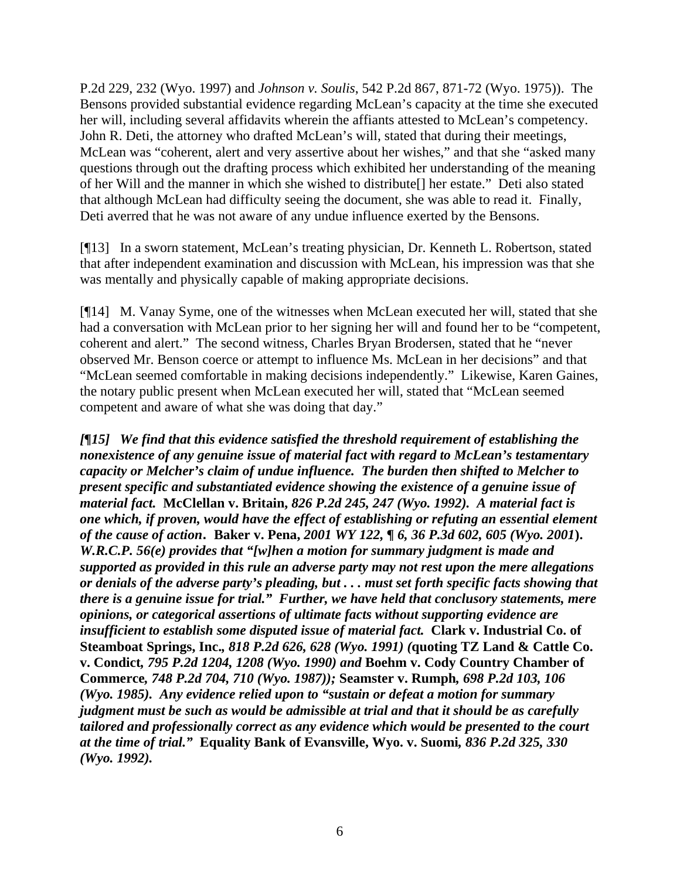P.2d 229, 232 (Wyo. 1997) and *Johnson v. Soulis*, 542 P.2d 867, 871-72 (Wyo. 1975)). The Bensons provided substantial evidence regarding McLean's capacity at the time she executed her will, including several affidavits wherein the affiants attested to McLean's competency. John R. Deti, the attorney who drafted McLean's will, stated that during their meetings, McLean was "coherent, alert and very assertive about her wishes," and that she "asked many questions through out the drafting process which exhibited her understanding of the meaning of her Will and the manner in which she wished to distribute[] her estate." Deti also stated that although McLean had difficulty seeing the document, she was able to read it. Finally, Deti averred that he was not aware of any undue influence exerted by the Bensons.

[¶13] In a sworn statement, McLean's treating physician, Dr. Kenneth L. Robertson, stated that after independent examination and discussion with McLean, his impression was that she was mentally and physically capable of making appropriate decisions.

[¶14] M. Vanay Syme, one of the witnesses when McLean executed her will, stated that she had a conversation with McLean prior to her signing her will and found her to be "competent, coherent and alert." The second witness, Charles Bryan Brodersen, stated that he "never observed Mr. Benson coerce or attempt to influence Ms. McLean in her decisions" and that "McLean seemed comfortable in making decisions independently." Likewise, Karen Gaines, the notary public present when McLean executed her will, stated that "McLean seemed competent and aware of what she was doing that day."

*[¶15] We find that this evidence satisfied the threshold requirement of establishing the nonexistence of any genuine issue of material fact with regard to McLean's testamentary capacity or Melcher's claim of undue influence. The burden then shifted to Melcher to present specific and substantiated evidence showing the existence of a genuine issue of material fact.* **McClellan v. Britain,** *826 P.2d 245, 247 (Wyo. 1992). A material fact is one which, if proven, would have the effect of establishing or refuting an essential element of the cause of action.* **Baker v. Pena,** *2001 WY 122, ¶ 6, 36 P.3d 602, 605 (Wyo. 2001***).** *W.R.C.P. 56(e) provides that "[w]hen a motion for summary judgment is made and supported as provided in this rule an adverse party may not rest upon the mere allegations or denials of the adverse party's pleading, but . . . must set forth specific facts showing that there is a genuine issue for trial." Further, we have held that conclusory statements, mere opinions, or categorical assertions of ultimate facts without supporting evidence are insufficient to establish some disputed issue of material fact.* **Clark v. Industrial Co. of Steamboat Springs, Inc.***, 818 P.2d 626, 628 (Wyo. 1991) (***quoting TZ Land & Cattle Co. v. Condict***, 795 P.2d 1204, 1208 (Wyo. 1990) and* **Boehm v. Cody Country Chamber of Commerce***, 748 P.2d 704, 710 (Wyo. 1987));* **Seamster v. Rumph***, 698 P.2d 103, 106 (Wyo. 1985). Any evidence relied upon to "sustain or defeat a motion for summary judgment must be such as would be admissible at trial and that it should be as carefully tailored and professionally correct as any evidence which would be presented to the court at the time of trial."* **Equality Bank of Evansville, Wyo. v. Suomi***, 836 P.2d 325, 330 (Wyo. 1992).*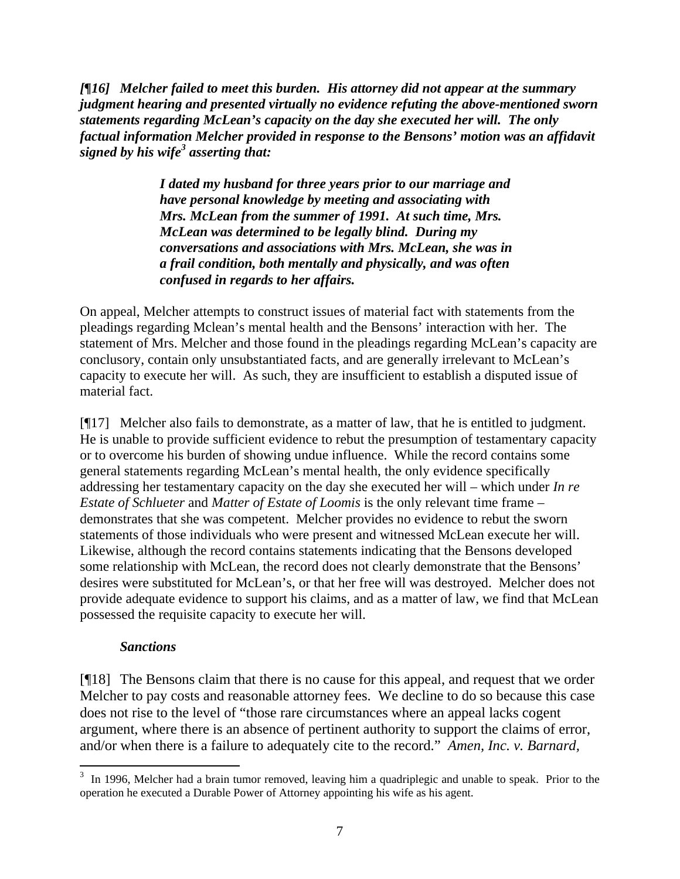*[¶16] Melcher failed to meet this burden. His attorney did not appear at the summary judgment hearing and presented virtually no evidence refuting the above-mentioned sworn statements regarding McLean's capacity on the day she executed her will. The only factual information Melcher provided in response to the Bensons' motion was an affidavit signed by his wife<sup>3</sup> asserting that:* 

> *I dated my husband for three years prior to our marriage and have personal knowledge by meeting and associating with Mrs. McLean from the summer of 1991. At such time, Mrs. McLean was determined to be legally blind. During my conversations and associations with Mrs. McLean, she was in a frail condition, both mentally and physically, and was often confused in regards to her affairs.*

On appeal, Melcher attempts to construct issues of material fact with statements from the pleadings regarding Mclean's mental health and the Bensons' interaction with her. The statement of Mrs. Melcher and those found in the pleadings regarding McLean's capacity are conclusory, contain only unsubstantiated facts, and are generally irrelevant to McLean's capacity to execute her will. As such, they are insufficient to establish a disputed issue of material fact.

[¶17] Melcher also fails to demonstrate, as a matter of law, that he is entitled to judgment. He is unable to provide sufficient evidence to rebut the presumption of testamentary capacity or to overcome his burden of showing undue influence. While the record contains some general statements regarding McLean's mental health, the only evidence specifically addressing her testamentary capacity on the day she executed her will – which under *In re Estate of Schlueter* and *Matter of Estate of Loomis* is the only relevant time frame – demonstrates that she was competent. Melcher provides no evidence to rebut the sworn statements of those individuals who were present and witnessed McLean execute her will. Likewise, although the record contains statements indicating that the Bensons developed some relationship with McLean, the record does not clearly demonstrate that the Bensons' desires were substituted for McLean's, or that her free will was destroyed. Melcher does not provide adequate evidence to support his claims, and as a matter of law, we find that McLean possessed the requisite capacity to execute her will.

### *Sanctions*

[¶18] The Bensons claim that there is no cause for this appeal, and request that we order Melcher to pay costs and reasonable attorney fees. We decline to do so because this case does not rise to the level of "those rare circumstances where an appeal lacks cogent argument, where there is an absence of pertinent authority to support the claims of error, and/or when there is a failure to adequately cite to the record." *Amen, Inc. v. Barnard,* 

 $3\,$  In 1996, Melcher had a brain tumor removed, leaving him a quadriplegic and unable to speak. Prior to the operation he executed a Durable Power of Attorney appointing his wife as his agent.